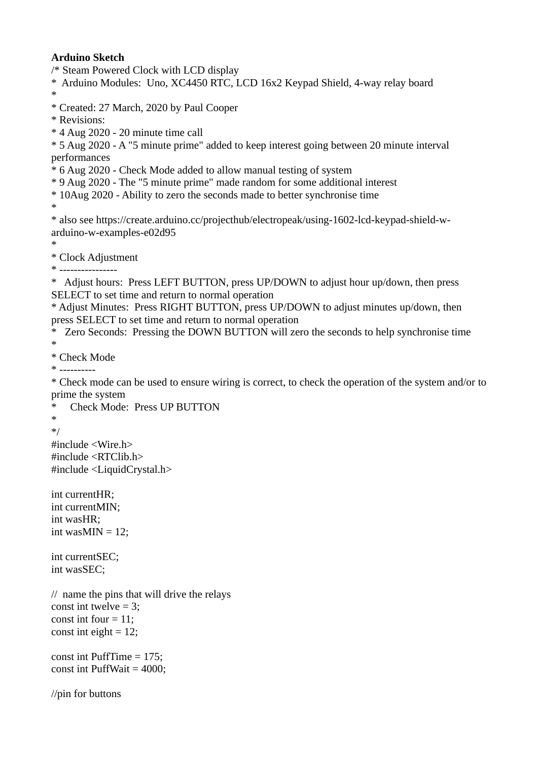## **Arduino Sketch**

/\* Steam Powered Clock with LCD display

\* Arduino Modules: Uno, XC4450 RTC, LCD 16x2 Keypad Shield, 4-way relay board \*

\* Created: 27 March, 2020 by Paul Cooper

\* Revisions:

\* 4 Aug 2020 - 20 minute time call

\* 5 Aug 2020 - A "5 minute prime" added to keep interest going between 20 minute interval performances

\* 6 Aug 2020 - Check Mode added to allow manual testing of system

\* 9 Aug 2020 - The "5 minute prime" made random for some additional interest

\* 10Aug 2020 - Ability to zero the seconds made to better synchronise time

\*

\* also see https://create.arduino.cc/projecthub/electropeak/using-1602-lcd-keypad-shield-warduino-w-examples-e02d95

\*

\* Clock Adjustment

\* ----------------

\* Adjust hours: Press LEFT BUTTON, press UP/DOWN to adjust hour up/down, then press SELECT to set time and return to normal operation

\* Adjust Minutes: Press RIGHT BUTTON, press UP/DOWN to adjust minutes up/down, then press SELECT to set time and return to normal operation

\* Zero Seconds: Pressing the DOWN BUTTON will zero the seconds to help synchronise time

\*

\* Check Mode

\* ----------

\* Check mode can be used to ensure wiring is correct, to check the operation of the system and/or to prime the system

Check Mode: Press UP BUTTON \* \*/ #include <Wire.h> #include <RTClib.h> #include <LiquidCrystal.h>

int currentHR; int currentMIN; int wasHR; int was $MIN = 12$ ;

int currentSEC; int wasSEC;

// name the pins that will drive the relays const int twelve = 3; const int four  $= 11$ : const int eight  $= 12$ :

const int PuffTime = 175; const int PuffWait = 4000;

//pin for buttons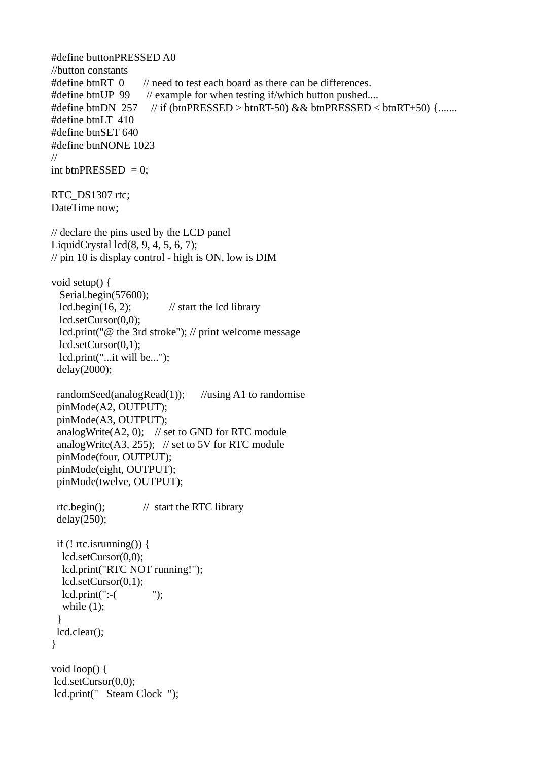```
#define buttonPRESSED A0
//button constants
#define btnRT 0 // need to test each board as there can be differences.
#define btnUP 99 // example for when testing if/which button pushed....
#define btnDN 257 // if (btnPRESSED > btnRT-50) && btnPRESSED < btnRT+50) {.......
#define btnLT 410
#define btnSET 640
#define btnNONE 1023
//
int btnPRESSED = 0;
RTC_DS1307 rtc:
DateTime now;
// declare the pins used by the LCD panel
LiquidCrystal lcd(8, 9, 4, 5, 6, 7); 
// pin 10 is display control - high is ON, low is DIM
void setup() {
  Serial.begin(57600);
 lcd.begin(16, 2); // start the lcd library
  lcd.setCursor(0,0);
  lcd.print("@ the 3rd stroke"); // print welcome message
  lcd.setCursor(0,1);
  lcd.print("...it will be...");
  delay(2000);
  randomSeed(analogRead(1)); //using A1 to randomise
  pinMode(A2, OUTPUT);
  pinMode(A3, OUTPUT);
 analogWrite(A2, 0); // set to GND for RTC module
  analogWrite(A3, 255); // set to 5V for RTC module
  pinMode(four, OUTPUT);
  pinMode(eight, OUTPUT);
  pinMode(twelve, OUTPUT);
  rtc.begin(); // start the RTC library
  delay(250);
 if (! rtc.isrunning()) {
   lcd.setCursor(0,0);
   lcd.print("RTC NOT running!");
   lcd.setCursor(0,1);
   lcd.print(":-( ");
  while (1);
  }
  lcd.clear();
}
void loop() {
 lcd.setCursor(0,0);
 lcd.print(" Steam Clock ");
```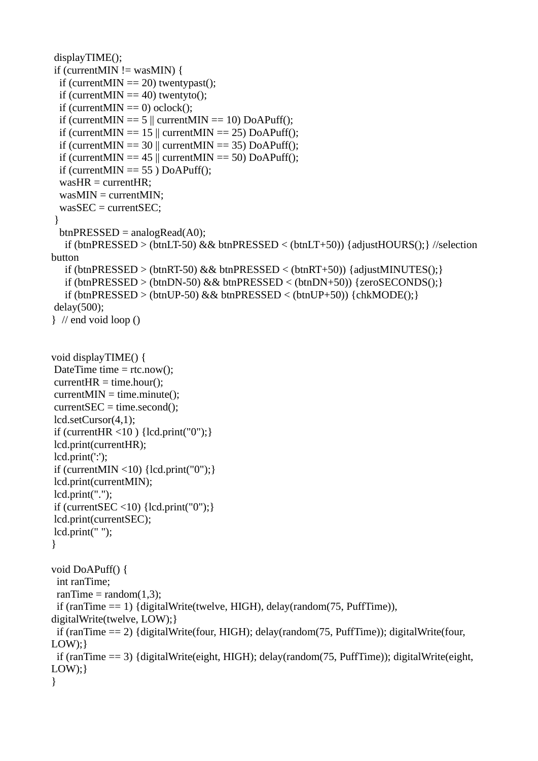```
 displayTIME();
if (currentMIN != wasMIN) {
 if (currentMIN == 20) twentypast();
 if (currentMIN == 40) twentyto();
 if (currentMIN == 0) oclock();
 if (currentMIN == 5 || currentMIN == 10) DoAPuff();
 if (currentMIN == 15 || currentMIN == 25) DoAPuff();
 if (currentMIN == 30 \parallel currentMIN == 35) DoAPuff();
 if (currentMIN == 45 || currentMIN == 50) DoAPuff();
 if (currentMIN == 55) DoAPuff();
  wasHR = currentHR;
  wasMIN = currentMIN;
  wasSEC = currentSEC;
 }
 btnPRESSED = analogRead(A0); if (btnPRESSED > (btnLT-50) && btnPRESSED < (btnLT+50)) {adjustHOURS();} //selection 
button
  if (btnPRESSED > (btnRT-50) && btnPRESSED < (btnRT+50) {adjustMINUTES(); }
   if (btnPRESSED > (btnDN-50) && btnPRESSED < (btnDN+50) {zeroSECONDS(); }
   if (btnPRESSED > (btnUP-50) && btnPRESSED < (btnUP+50) \{chkMODE():\} delay(500); 
} // end void loop ()
void displayTIME() {
DateTime time = rtc.now();
currentHR = time.hour);currentMIN = time.minute(); currentSEC = time.second();
 lcd.setCursor(4,1);
if (currentHR < 10) {lcd.print("0");}
 lcd.print(currentHR);
 lcd.print(':');
if (currentMIN <10) \{lcd.print("0");\} lcd.print(currentMIN);
 lcd.print(".");
if (currentSEC \leq 10) {lcd.print("0"); }
 lcd.print(currentSEC);
 lcd.print(" ");
}
void DoAPuff() {
  int ranTime;
 ranTime = random(1,3); if (ranTime == 1) {digitalWrite(twelve, HIGH), delay(random(75, PuffTime)), 
digitalWrite(twelve, LOW);}
  if (ranTime == 2) {digitalWrite(four, HIGH); delay(random(75, PuffTime)); digitalWrite(four, 
LOW:}
  if (ranTime == 3) {digitalWrite(eight, HIGH); delay(random(75, PuffTime)); digitalWrite(eight, 
LOW; }
}
```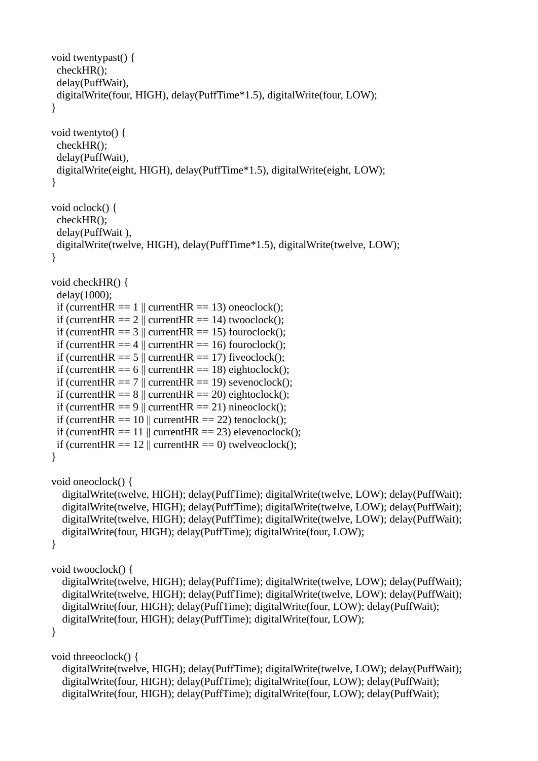```
void twentypast() {
  checkHR();
  delay(PuffWait), 
  digitalWrite(four, HIGH), delay(PuffTime*1.5), digitalWrite(four, LOW);
}
void twentyto() {
  checkHR();
  delay(PuffWait),
  digitalWrite(eight, HIGH), delay(PuffTime*1.5), digitalWrite(eight, LOW);
}
void oclock() {
  checkHR();
  delay(PuffWait ),
  digitalWrite(twelve, HIGH), delay(PuffTime*1.5), digitalWrite(twelve, LOW);
}
void checkHR() {
  delay(1000);
 if (currentHR == 1 \parallel currentHR == 13) oneoclock();
 if (currentHR == 2 || currentHR == 14) twooclock();
 if (currentHR == 3 || currentHR == 15) fouroclock();
 if (currentHR == 4 \parallel currentHR == 16) fouroclock();
 if (currentHR == 5 \parallel currentHR == 17) fiveoclock();
 if (current HR = = 6 || current HR = = 18) eightoclock();
 if (currentHR == 7 || currentHR == 19) sevenoclock();
 if (current HR = = 8 \parallel current HR = = 20) eightoclock();
 if (currentHR == 9 || currentHR == 21) nineoclock();
 if (currentHR == 10 || currentHR == 22) tenoclock();
 if (currentHR == 11 \parallel currentHR == 23) elevenoclock();
 if (currentHR == 12 \parallel currentHR == 0) twelveoclock();
}
void oneoclock() {
   digitalWrite(twelve, HIGH); delay(PuffTime); digitalWrite(twelve, LOW); delay(PuffWait);
   digitalWrite(twelve, HIGH); delay(PuffTime); digitalWrite(twelve, LOW); delay(PuffWait);
   digitalWrite(twelve, HIGH); delay(PuffTime); digitalWrite(twelve, LOW); delay(PuffWait);
   digitalWrite(four, HIGH); delay(PuffTime); digitalWrite(four, LOW);
}
void twooclock() {
   digitalWrite(twelve, HIGH); delay(PuffTime); digitalWrite(twelve, LOW); delay(PuffWait);
   digitalWrite(twelve, HIGH); delay(PuffTime); digitalWrite(twelve, LOW); delay(PuffWait);
   digitalWrite(four, HIGH); delay(PuffTime); digitalWrite(four, LOW); delay(PuffWait);
   digitalWrite(four, HIGH); delay(PuffTime); digitalWrite(four, LOW);
}
void threeoclock() {
   digitalWrite(twelve, HIGH); delay(PuffTime); digitalWrite(twelve, LOW); delay(PuffWait);
   digitalWrite(four, HIGH); delay(PuffTime); digitalWrite(four, LOW); delay(PuffWait);
```
digitalWrite(four, HIGH); delay(PuffTime); digitalWrite(four, LOW); delay(PuffWait);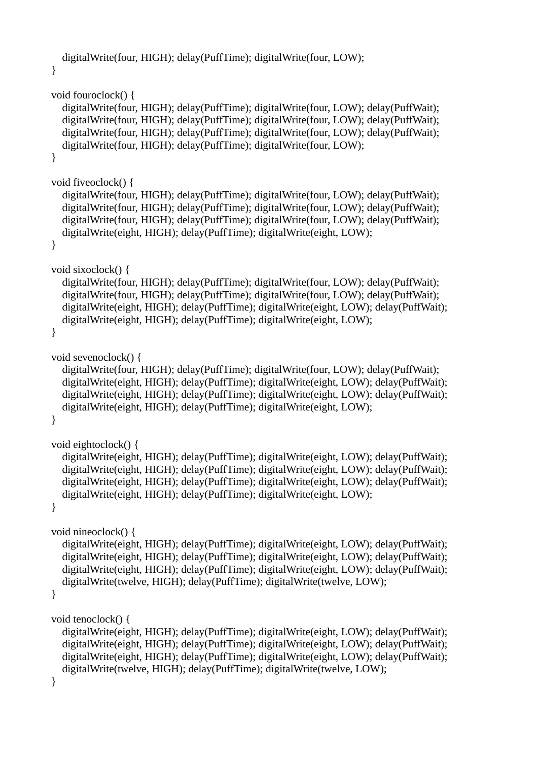```
 digitalWrite(four, HIGH); delay(PuffTime); digitalWrite(four, LOW);
}
void fouroclock() {
   digitalWrite(four, HIGH); delay(PuffTime); digitalWrite(four, LOW); delay(PuffWait);
   digitalWrite(four, HIGH); delay(PuffTime); digitalWrite(four, LOW); delay(PuffWait);
   digitalWrite(four, HIGH); delay(PuffTime); digitalWrite(four, LOW); delay(PuffWait);
   digitalWrite(four, HIGH); delay(PuffTime); digitalWrite(four, LOW);
}
void fiveoclock() {
   digitalWrite(four, HIGH); delay(PuffTime); digitalWrite(four, LOW); delay(PuffWait);
   digitalWrite(four, HIGH); delay(PuffTime); digitalWrite(four, LOW); delay(PuffWait);
   digitalWrite(four, HIGH); delay(PuffTime); digitalWrite(four, LOW); delay(PuffWait);
   digitalWrite(eight, HIGH); delay(PuffTime); digitalWrite(eight, LOW);
}
void sixoclock() {
   digitalWrite(four, HIGH); delay(PuffTime); digitalWrite(four, LOW); delay(PuffWait);
   digitalWrite(four, HIGH); delay(PuffTime); digitalWrite(four, LOW); delay(PuffWait);
   digitalWrite(eight, HIGH); delay(PuffTime); digitalWrite(eight, LOW); delay(PuffWait);
   digitalWrite(eight, HIGH); delay(PuffTime); digitalWrite(eight, LOW);
}
void sevenoclock() {
   digitalWrite(four, HIGH); delay(PuffTime); digitalWrite(four, LOW); delay(PuffWait);
   digitalWrite(eight, HIGH); delay(PuffTime); digitalWrite(eight, LOW); delay(PuffWait);
   digitalWrite(eight, HIGH); delay(PuffTime); digitalWrite(eight, LOW); delay(PuffWait);
   digitalWrite(eight, HIGH); delay(PuffTime); digitalWrite(eight, LOW);
}
void eightoclock() {
   digitalWrite(eight, HIGH); delay(PuffTime); digitalWrite(eight, LOW); delay(PuffWait);
   digitalWrite(eight, HIGH); delay(PuffTime); digitalWrite(eight, LOW); delay(PuffWait);
   digitalWrite(eight, HIGH); delay(PuffTime); digitalWrite(eight, LOW); delay(PuffWait);
   digitalWrite(eight, HIGH); delay(PuffTime); digitalWrite(eight, LOW);
}
void nineoclock() {
   digitalWrite(eight, HIGH); delay(PuffTime); digitalWrite(eight, LOW); delay(PuffWait);
   digitalWrite(eight, HIGH); delay(PuffTime); digitalWrite(eight, LOW); delay(PuffWait);
   digitalWrite(eight, HIGH); delay(PuffTime); digitalWrite(eight, LOW); delay(PuffWait);
   digitalWrite(twelve, HIGH); delay(PuffTime); digitalWrite(twelve, LOW);
}
void tenoclock() {
   digitalWrite(eight, HIGH); delay(PuffTime); digitalWrite(eight, LOW); delay(PuffWait);
   digitalWrite(eight, HIGH); delay(PuffTime); digitalWrite(eight, LOW); delay(PuffWait);
   digitalWrite(eight, HIGH); delay(PuffTime); digitalWrite(eight, LOW); delay(PuffWait);
   digitalWrite(twelve, HIGH); delay(PuffTime); digitalWrite(twelve, LOW);
}
```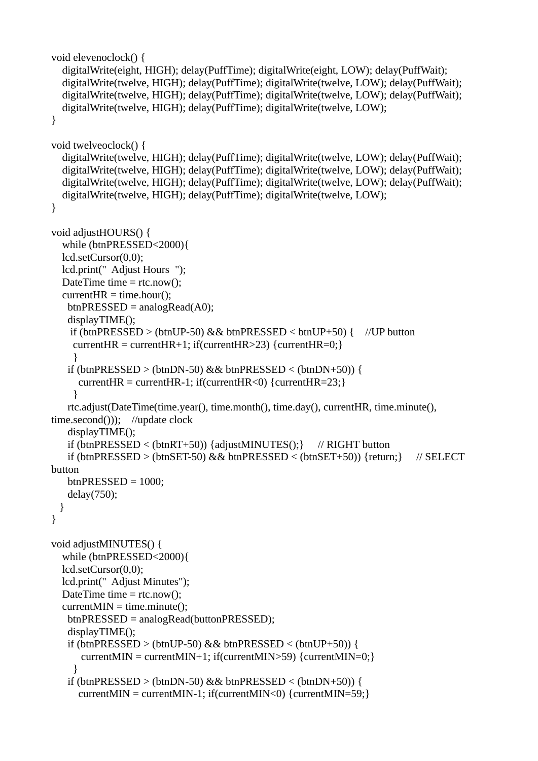```
void elevenoclock() {
   digitalWrite(eight, HIGH); delay(PuffTime); digitalWrite(eight, LOW); delay(PuffWait);
   digitalWrite(twelve, HIGH); delay(PuffTime); digitalWrite(twelve, LOW); delay(PuffWait);
   digitalWrite(twelve, HIGH); delay(PuffTime); digitalWrite(twelve, LOW); delay(PuffWait);
   digitalWrite(twelve, HIGH); delay(PuffTime); digitalWrite(twelve, LOW);
}
void twelveoclock() {
   digitalWrite(twelve, HIGH); delay(PuffTime); digitalWrite(twelve, LOW); delay(PuffWait);
   digitalWrite(twelve, HIGH); delay(PuffTime); digitalWrite(twelve, LOW); delay(PuffWait);
   digitalWrite(twelve, HIGH); delay(PuffTime); digitalWrite(twelve, LOW); delay(PuffWait);
   digitalWrite(twelve, HIGH); delay(PuffTime); digitalWrite(twelve, LOW);
}
void adjustHOURS() {
   while (btnPRESSED<2000){
   lcd.setCursor(0,0);
   lcd.print(" Adjust Hours ");
  DateTime time = rtc.now();
  currentHR = time.hour();btnPRESSED = analogRead(A0);
    displayTIME();
    if (btnPRESSED > (btnUP-50) && btnPRESSED < butD+50 { //UP button
    currentHR = currentHR+1; if(currentHR>23) {currentHR=0; }
     }
   if (btnPRESSED > (btnDN-50) && btnPRESSED < (btnDN+50)}
     currentHR = currentHR-1; if(currentHR<0) {currentHR=23;}
     }
    rtc.adjust(DateTime(time.year(), time.month(), time.day(), currentHR, time.minute(), 
time.second())); //update clock
    displayTIME();
    if (btnPRESSED < (btnRT+50)) {adjustMINUTES();} // RIGHT button
   if (btnPRESSED > (btnSET-50) && btnPRESSED < (btnSET+50)) {return;} // SELECT
button
   btnPRESED = 1000:
    delay(750); 
  }
}
void adjustMINUTES() {
   while (btnPRESSED<2000){ 
   lcd.setCursor(0,0);
   lcd.print(" Adjust Minutes");
  DateTime time = rtc.now();
  currentMIN = time.minute(); btnPRESSED = analogRead(buttonPRESSED);
    displayTIME(); 
   if (btnPRESSED > (btnUP-50) && btnPRESSED < (btnUP+50)} {
       currentMIN = currentMIN+1; if(currentMIN>59) {currentMIN=0;}
     }
   if (btnPRESSED > (btnDN-50) && btnPRESSED < (btnDN+50)} {
     currentMIN = currentMIN-1; if(currentMIN<0) {currentMIN=59;}
```